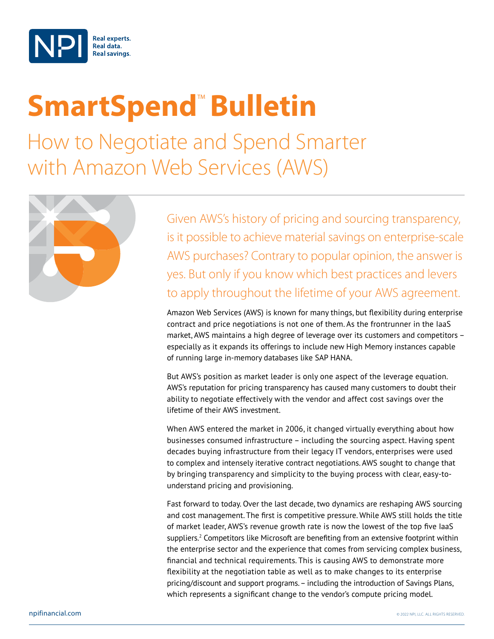

## **SmartSpend<sup>™</sup> Bulletin**

How to Negotiate and Spend Smarter with Amazon Web Services (AWS)



Given AWS's history of pricing and sourcing transparency, is it possible to achieve material savings on enterprise-scale AWS purchases? Contrary to popular opinion, the answer is yes. But only if you know which best practices and levers to apply throughout the lifetime of your AWS agreement.

Amazon Web Services (AWS) is known for many things, but flexibility during enterprise contract and price negotiations is not one of them. As the frontrunner in the IaaS market, AWS maintains a high degree of leverage over its customers and competitors – especially as it expands its offerings to include new High Memory instances capable of running large in-memory databases like SAP HANA.

But AWS's position as market leader is only one aspect of the leverage equation. AWS's reputation for pricing transparency has caused many customers to doubt their ability to negotiate effectively with the vendor and affect cost savings over the lifetime of their AWS investment.

When AWS entered the market in 2006, it changed virtually everything about how businesses consumed infrastructure – including the sourcing aspect. Having spent decades buying infrastructure from their legacy IT vendors, enterprises were used to complex and intensely iterative contract negotiations. AWS sought to change that by bringing transparency and simplicity to the buying process with clear, easy-tounderstand pricing and provisioning.

Fast forward to today. Over the last decade, two dynamics are reshaping AWS sourcing and cost management. The first is competitive pressure. While AWS still holds the title of market leader, AWS's revenue growth rate is now the lowest of the top five IaaS suppliers. $^2$  Competitors like Microsoft are benefiting from an extensive footprint within the enterprise sector and the experience that comes from servicing complex business, financial and technical requirements. This is causing AWS to demonstrate more flexibility at the negotiation table as well as to make changes to its enterprise pricing/discount and support programs. – including the introduction of Savings Plans, which represents a significant change to the vendor's compute pricing model.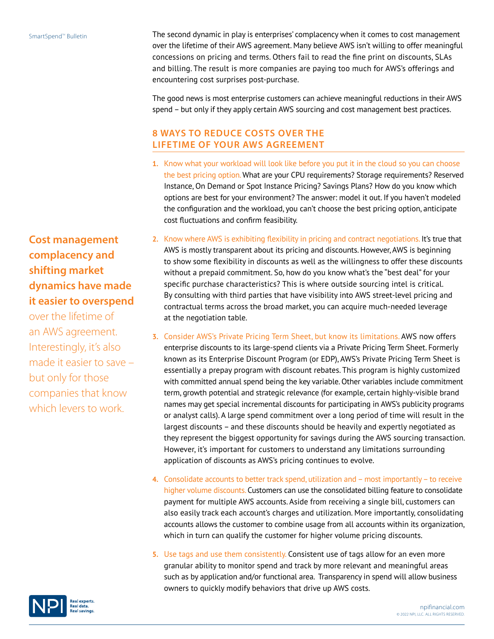The second dynamic in play is enterprises' complacency when it comes to cost management over the lifetime of their AWS agreement. Many believe AWS isn't willing to offer meaningful concessions on pricing and terms. Others fail to read the fine print on discounts, SLAs and billing. The result is more companies are paying too much for AWS's offerings and encountering cost surprises post-purchase.

The good news is most enterprise customers can achieve meaningful reductions in their AWS spend – but only if they apply certain AWS sourcing and cost management best practices.

## **8 WAYS TO REDUCE COSTS OVER THE LIFETIME OF YOUR AWS AGREEMENT**

- **1.** Know what your workload will look like before you put it in the cloud so you can choose the best pricing option. What are your CPU requirements? Storage requirements? Reserved Instance, On Demand or Spot Instance Pricing? Savings Plans? How do you know which options are best for your environment? The answer: model it out. If you haven't modeled the configuration and the workload, you can't choose the best pricing option, anticipate cost fluctuations and confirm feasibility.
- **2.** Know where AWS is exhibiting flexibility in pricing and contract negotiations. It's true that AWS is mostly transparent about its pricing and discounts. However, AWS is beginning to show some flexibility in discounts as well as the willingness to offer these discounts without a prepaid commitment. So, how do you know what's the "best deal" for your specific purchase characteristics? This is where outside sourcing intel is critical. By consulting with third parties that have visibility into AWS street-level pricing and contractual terms across the broad market, you can acquire much-needed leverage at the negotiation table.
- **3.** Consider AWS's Private Pricing Term Sheet, but know its limitations. AWS now offers enterprise discounts to its large-spend clients via a Private Pricing Term Sheet. Formerly known as its Enterprise Discount Program (or EDP), AWS's Private Pricing Term Sheet is essentially a prepay program with discount rebates. This program is highly customized with committed annual spend being the key variable. Other variables include commitment term, growth potential and strategic relevance (for example, certain highly-visible brand names may get special incremental discounts for participating in AWS's publicity programs or analyst calls). A large spend commitment over a long period of time will result in the largest discounts – and these discounts should be heavily and expertly negotiated as they represent the biggest opportunity for savings during the AWS sourcing transaction. However, it's important for customers to understand any limitations surrounding application of discounts as AWS's pricing continues to evolve.
- **4.** Consolidate accounts to better track spend, utilization and most importantly to receive higher volume discounts. Customers can use the consolidated billing feature to consolidate payment for multiple AWS accounts. Aside from receiving a single bill, customers can also easily track each account's charges and utilization. More importantly, consolidating accounts allows the customer to combine usage from all accounts within its organization, which in turn can qualify the customer for higher volume pricing discounts.
- **5.** Use tags and use them consistently. Consistent use of tags allow for an even more granular ability to monitor spend and track by more relevant and meaningful areas such as by application and/or functional area. Transparency in spend will allow business owners to quickly modify behaviors that drive up AWS costs.

**Cost management complacency and shifting market dynamics have made it easier to overspend**

over the lifetime of an AWS agreement. Interestingly, it's also made it easier to save – but only for those companies that know which levers to work.